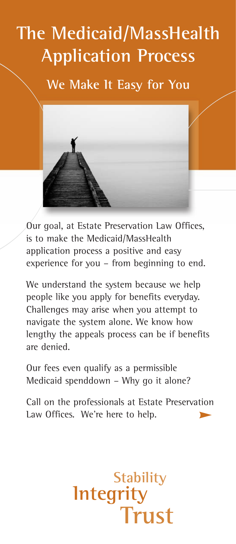## **The Medicaid/MassHealth Application Process**

**We Make It Easy for You**



Our goal, at Estate Preservation Law Offices, is to make the Medicaid/MassHealth application process a positive and easy experience for you – from beginning to end.

We understand the system because we help people like you apply for benefits everyday. Challenges may arise when you attempt to navigate the system alone. We know how lengthy the appeals process can be if benefits are denied.

Our fees even qualify as a permissible Medicaid spenddown – Why go it alone?

**Integrity**

Call on the professionals at Estate Preservation Law Offices. We're here to help.

**Stability**

**Trust**